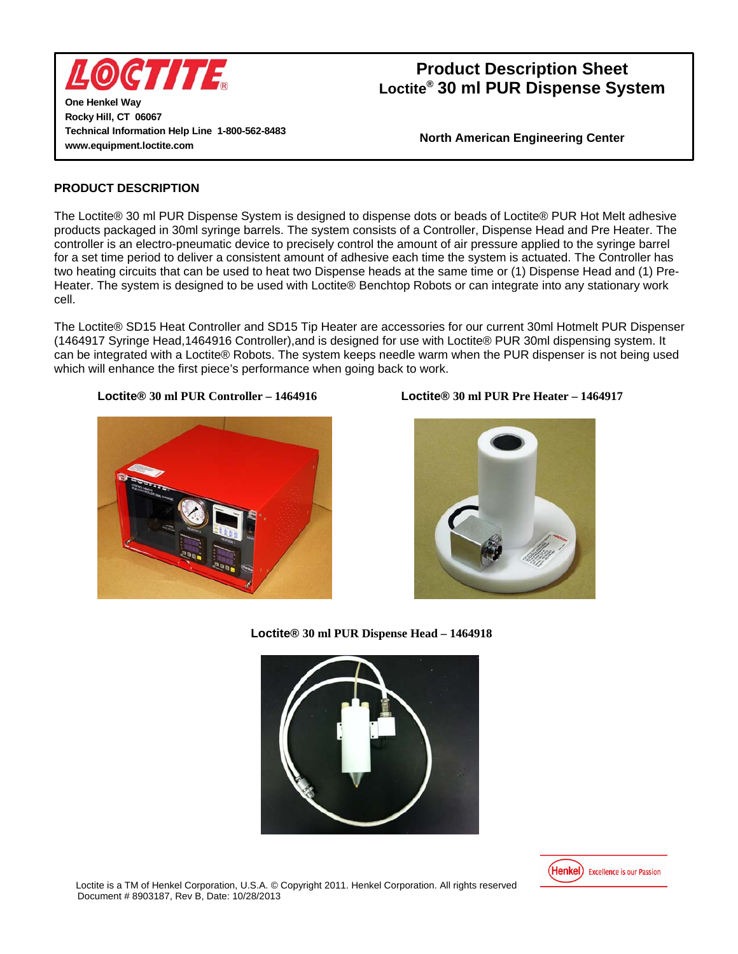

**One Henkel Way Rocky Hill, CT 06067 Technical Information Help Line 1-800-562-8483 www.equipment.loctite.com** 

**North American Engineering Center** 

### **PRODUCT DESCRIPTION**

The Loctite® 30 ml PUR Dispense System is designed to dispense dots or beads of Loctite® PUR Hot Melt adhesive products packaged in 30ml syringe barrels. The system consists of a Controller, Dispense Head and Pre Heater. The controller is an electro-pneumatic device to precisely control the amount of air pressure applied to the syringe barrel for a set time period to deliver a consistent amount of adhesive each time the system is actuated. The Controller has two heating circuits that can be used to heat two Dispense heads at the same time or (1) Dispense Head and (1) Pre-Heater. The system is designed to be used with Loctite® Benchtop Robots or can integrate into any stationary work cell.

The Loctite® SD15 Heat Controller and SD15 Tip Heater are accessories for our current 30ml Hotmelt PUR Dispenser (1464917 Syringe Head,1464916 Controller),and is designed for use with Loctite® PUR 30ml dispensing system. It can be integrated with a Loctite® Robots. The system keeps needle warm when the PUR dispenser is not being used which will enhance the first piece's performance when going back to work.







**Loctite® 30 ml PUR Dispense Head – 1464918** 



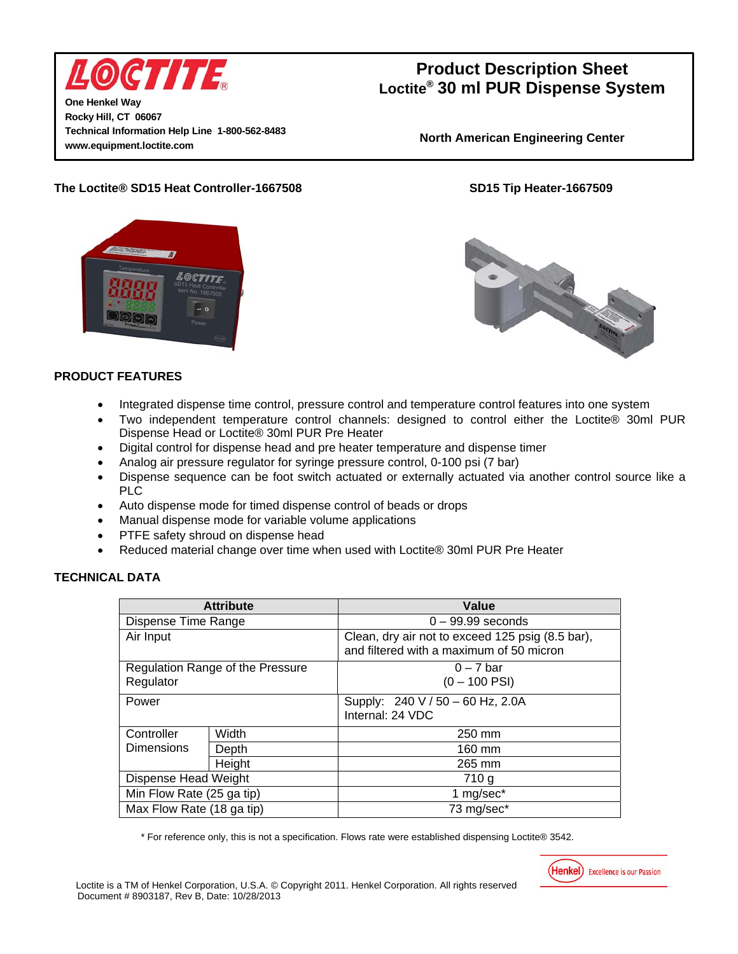

**One Henkel Way Rocky Hill, CT 06067 Technical Information Help Line 1-800-562-8483 www.equipment.loctite.com** 

## **Product Description Sheet Loctite® 30 ml PUR Dispense System**

**North American Engineering Center** 

## **The Loctite® SD15 Heat Controller-1667508 SD15 Tip Heater-1667509**





## **PRODUCT FEATURES**

- Integrated dispense time control, pressure control and temperature control features into one system
- Two independent temperature control channels: designed to control either the Loctite® 30ml PUR Dispense Head or Loctite® 30ml PUR Pre Heater
- Digital control for dispense head and pre heater temperature and dispense timer
- Analog air pressure regulator for syringe pressure control, 0-100 psi (7 bar)
- Dispense sequence can be foot switch actuated or externally actuated via another control source like a PLC
- Auto dispense mode for timed dispense control of beads or drops
- Manual dispense mode for variable volume applications
- PTFE safety shroud on dispense head
- Reduced material change over time when used with Loctite® 30ml PUR Pre Heater

## **TECHNICAL DATA**

| <b>Attribute</b>                 |        | Value                                                                                        |
|----------------------------------|--------|----------------------------------------------------------------------------------------------|
| Dispense Time Range              |        | $0 - 99.99$ seconds                                                                          |
| Air Input                        |        | Clean, dry air not to exceed 125 psig (8.5 bar),<br>and filtered with a maximum of 50 micron |
| Regulation Range of the Pressure |        | $0 - 7$ bar                                                                                  |
| Regulator                        |        | $(0 - 100$ PSI)                                                                              |
| Power                            |        | Supply: 240 V / 50 - 60 Hz, 2.0A                                                             |
|                                  |        | Internal: 24 VDC                                                                             |
| Controller                       | Width  | 250 mm                                                                                       |
| <b>Dimensions</b>                | Depth  | 160 mm                                                                                       |
|                                  | Height | 265 mm                                                                                       |
| Dispense Head Weight             |        | 710 g                                                                                        |
| Min Flow Rate (25 ga tip)        |        | 1 mg/sec*                                                                                    |
| Max Flow Rate (18 ga tip)        |        | 73 mg/sec*                                                                                   |

\* For reference only, this is not a specification. Flows rate were established dispensing Loctite® 3542.

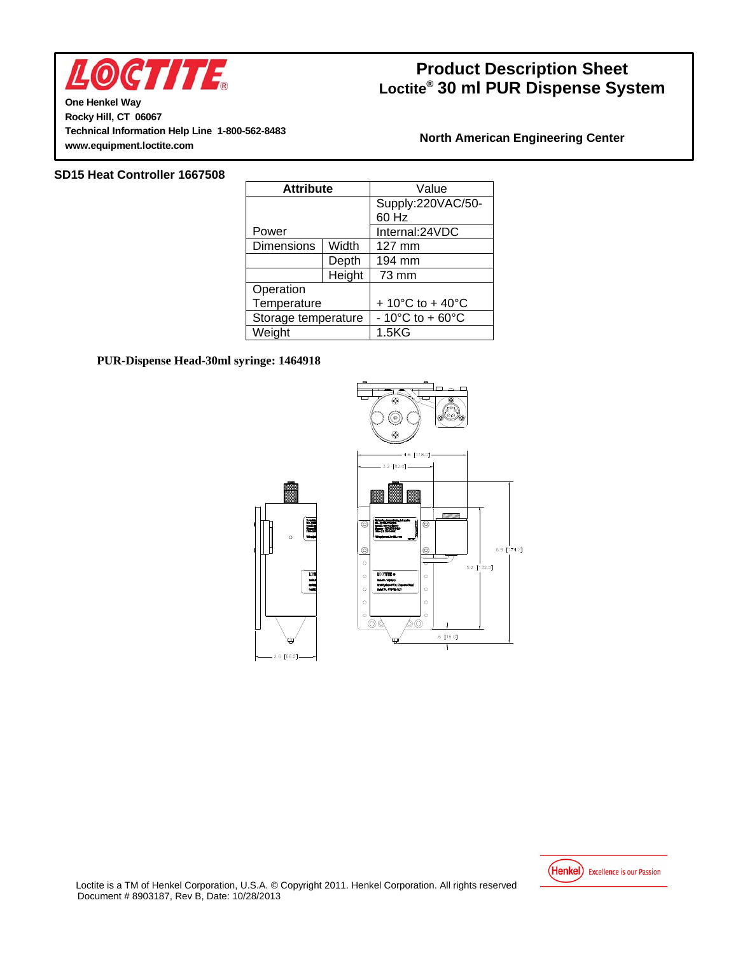

**One Henkel Way Rocky Hill, CT 06067 Technical Information Help Line 1-800-562-8483 www.equipment.loctite.com** 

### **North American Engineering Center**

#### **SD15 Heat Controller 1667508**

| <b>Attribute</b>    |        | Value                                  |
|---------------------|--------|----------------------------------------|
|                     |        | Supply:220VAC/50-                      |
|                     |        | 60 Hz                                  |
| Power               |        | Internal:24VDC                         |
| <b>Dimensions</b>   | Width  | 127 mm                                 |
|                     | Depth  | 194 mm                                 |
|                     | Height | 73 mm                                  |
| Operation           |        |                                        |
| Temperature         |        | + 10 $^{\circ}$ C to + 40 $^{\circ}$ C |
| Storage temperature |        | $-10^{\circ}$ C to +60 $^{\circ}$ C    |
| Weight              |        | 1.5 <sub>K</sub> G                     |

#### **PUR-Dispense Head-30ml syringe: 1464918**



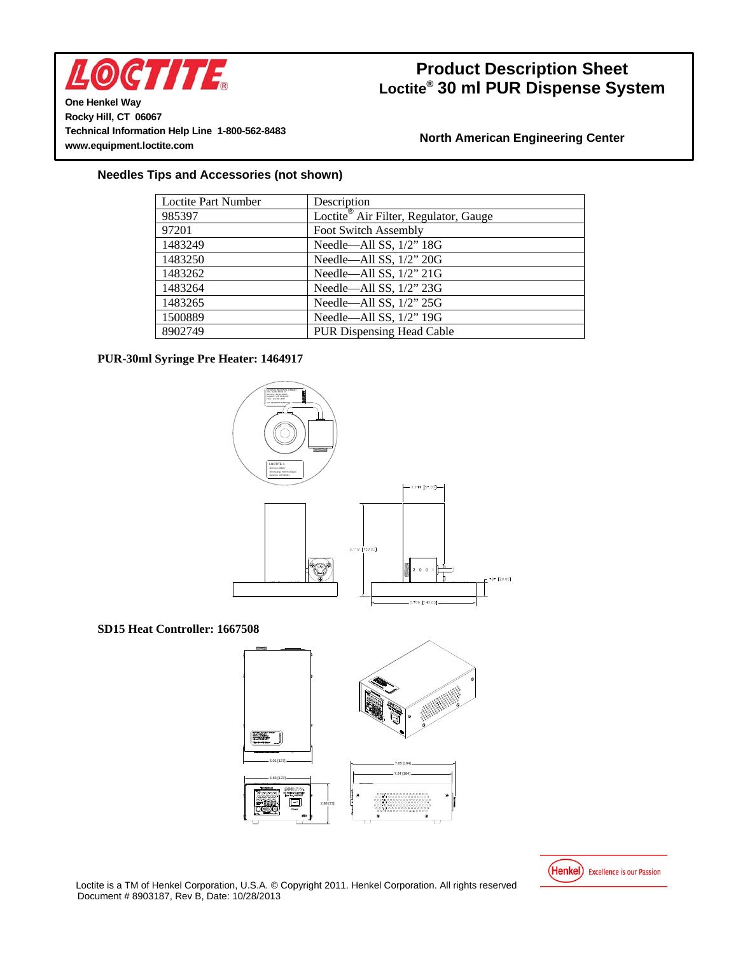

**One Henkel Way Rocky Hill, CT 06067 Technical Information Help Line 1-800-562-8483 www.equipment.loctite.com** 

## **North American Engineering Center**

### **Needles Tips and Accessories (not shown)**

| <b>Loctite Part Number</b> | Description                                       |
|----------------------------|---------------------------------------------------|
| 985397                     | Loctite <sup>®</sup> Air Filter, Regulator, Gauge |
| 97201                      | <b>Foot Switch Assembly</b>                       |
| 1483249                    | Needle-All SS, 1/2" 18G                           |
| 1483250                    | Needle-All SS, 1/2" 20G                           |
| 1483262                    | Needle-All SS, 1/2" 21G                           |
| 1483264                    | Needle-All SS, 1/2" 23G                           |
| 1483265                    | Needle-All SS, 1/2" 25G                           |
| 1500889                    | Needle-All SS, 1/2" 19G                           |
| 8902749                    | <b>PUR Dispensing Head Cable</b>                  |

#### **PUR-30ml Syringe Pre Heater: 1464917**



**SD15 Heat Controller: 1667508**